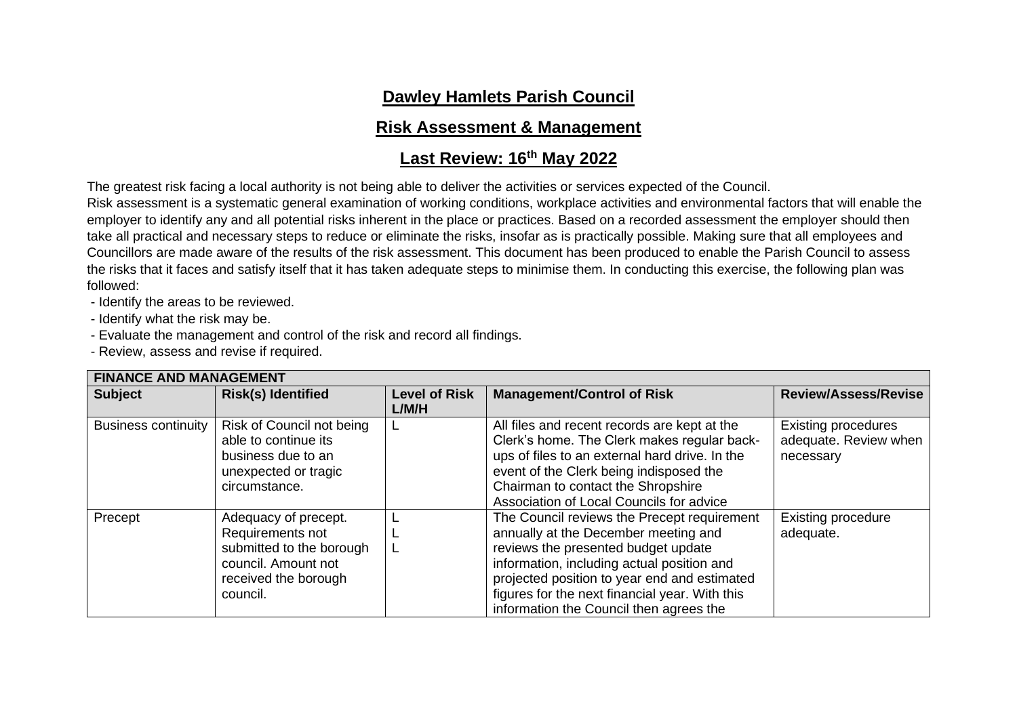## **Dawley Hamlets Parish Council**

## **Risk Assessment & Management**

## **Last Review: 16th May 2022**

The greatest risk facing a local authority is not being able to deliver the activities or services expected of the Council.

Risk assessment is a systematic general examination of working conditions, workplace activities and environmental factors that will enable the employer to identify any and all potential risks inherent in the place or practices. Based on a recorded assessment the employer should then take all practical and necessary steps to reduce or eliminate the risks, insofar as is practically possible. Making sure that all employees and Councillors are made aware of the results of the risk assessment. This document has been produced to enable the Parish Council to assess the risks that it faces and satisfy itself that it has taken adequate steps to minimise them. In conducting this exercise, the following plan was followed:

- Identify the areas to be reviewed.

- Identify what the risk may be.

- Evaluate the management and control of the risk and record all findings.

- Review, assess and revise if required.

| <b>FINANCE AND MANAGEMENT</b> |                           |                      |                                                |                             |  |
|-------------------------------|---------------------------|----------------------|------------------------------------------------|-----------------------------|--|
| <b>Subject</b>                | <b>Risk(s) Identified</b> | <b>Level of Risk</b> | <b>Management/Control of Risk</b>              | <b>Review/Assess/Revise</b> |  |
|                               |                           | L/M/H                |                                                |                             |  |
| <b>Business continuity</b>    | Risk of Council not being |                      | All files and recent records are kept at the   | <b>Existing procedures</b>  |  |
|                               | able to continue its      |                      | Clerk's home. The Clerk makes regular back-    | adequate. Review when       |  |
|                               | business due to an        |                      | ups of files to an external hard drive. In the | necessary                   |  |
|                               | unexpected or tragic      |                      | event of the Clerk being indisposed the        |                             |  |
|                               | circumstance.             |                      | Chairman to contact the Shropshire             |                             |  |
|                               |                           |                      | Association of Local Councils for advice       |                             |  |
| Precept                       | Adequacy of precept.      |                      | The Council reviews the Precept requirement    | <b>Existing procedure</b>   |  |
|                               | Requirements not          |                      | annually at the December meeting and           | adequate.                   |  |
|                               | submitted to the borough  |                      | reviews the presented budget update            |                             |  |
|                               | council. Amount not       |                      | information, including actual position and     |                             |  |
|                               | received the borough      |                      | projected position to year end and estimated   |                             |  |
|                               | council.                  |                      | figures for the next financial year. With this |                             |  |
|                               |                           |                      | information the Council then agrees the        |                             |  |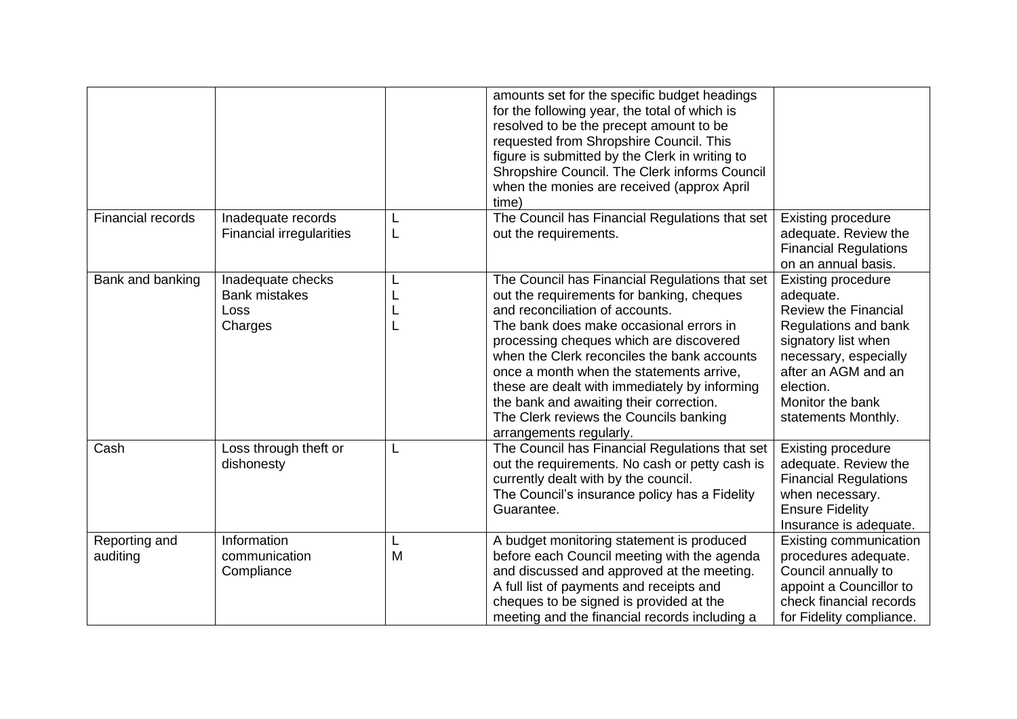|                           |                                                              |        | amounts set for the specific budget headings<br>for the following year, the total of which is<br>resolved to be the precept amount to be<br>requested from Shropshire Council. This<br>figure is submitted by the Clerk in writing to<br>Shropshire Council. The Clerk informs Council<br>when the monies are received (approx April<br>time)                                                                                                                                    |                                                                                                                                                                                                                              |
|---------------------------|--------------------------------------------------------------|--------|----------------------------------------------------------------------------------------------------------------------------------------------------------------------------------------------------------------------------------------------------------------------------------------------------------------------------------------------------------------------------------------------------------------------------------------------------------------------------------|------------------------------------------------------------------------------------------------------------------------------------------------------------------------------------------------------------------------------|
| <b>Financial records</b>  | Inadequate records<br><b>Financial irregularities</b>        | L<br>L | The Council has Financial Regulations that set<br>out the requirements.                                                                                                                                                                                                                                                                                                                                                                                                          | <b>Existing procedure</b><br>adequate. Review the<br><b>Financial Regulations</b><br>on an annual basis.                                                                                                                     |
| Bank and banking          | Inadequate checks<br><b>Bank mistakes</b><br>Loss<br>Charges | L      | The Council has Financial Regulations that set<br>out the requirements for banking, cheques<br>and reconciliation of accounts.<br>The bank does make occasional errors in<br>processing cheques which are discovered<br>when the Clerk reconciles the bank accounts<br>once a month when the statements arrive,<br>these are dealt with immediately by informing<br>the bank and awaiting their correction.<br>The Clerk reviews the Councils banking<br>arrangements regularly. | <b>Existing procedure</b><br>adequate.<br><b>Review the Financial</b><br>Regulations and bank<br>signatory list when<br>necessary, especially<br>after an AGM and an<br>election.<br>Monitor the bank<br>statements Monthly. |
| Cash                      | Loss through theft or<br>dishonesty                          | L      | The Council has Financial Regulations that set<br>out the requirements. No cash or petty cash is<br>currently dealt with by the council.<br>The Council's insurance policy has a Fidelity<br>Guarantee.                                                                                                                                                                                                                                                                          | <b>Existing procedure</b><br>adequate. Review the<br><b>Financial Regulations</b><br>when necessary.<br><b>Ensure Fidelity</b><br>Insurance is adequate.                                                                     |
| Reporting and<br>auditing | Information<br>communication<br>Compliance                   | L<br>M | A budget monitoring statement is produced<br>before each Council meeting with the agenda<br>and discussed and approved at the meeting.<br>A full list of payments and receipts and<br>cheques to be signed is provided at the<br>meeting and the financial records including a                                                                                                                                                                                                   | Existing communication<br>procedures adequate.<br>Council annually to<br>appoint a Councillor to<br>check financial records<br>for Fidelity compliance.                                                                      |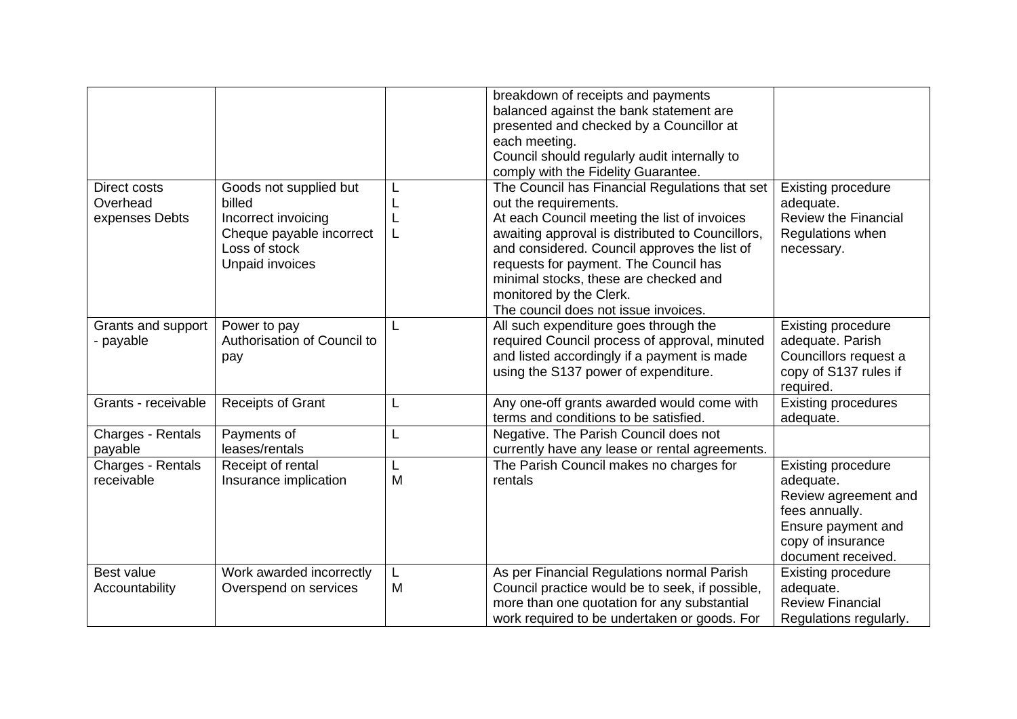|                                                   |                                                                                                                         |        | breakdown of receipts and payments<br>balanced against the bank statement are<br>presented and checked by a Councillor at<br>each meeting.<br>Council should regularly audit internally to<br>comply with the Fidelity Guarantee.                                                                                                                                                |                                                                                                                                                   |
|---------------------------------------------------|-------------------------------------------------------------------------------------------------------------------------|--------|----------------------------------------------------------------------------------------------------------------------------------------------------------------------------------------------------------------------------------------------------------------------------------------------------------------------------------------------------------------------------------|---------------------------------------------------------------------------------------------------------------------------------------------------|
| <b>Direct costs</b><br>Overhead<br>expenses Debts | Goods not supplied but<br>billed<br>Incorrect invoicing<br>Cheque payable incorrect<br>Loss of stock<br>Unpaid invoices |        | The Council has Financial Regulations that set<br>out the requirements.<br>At each Council meeting the list of invoices<br>awaiting approval is distributed to Councillors,<br>and considered. Council approves the list of<br>requests for payment. The Council has<br>minimal stocks, these are checked and<br>monitored by the Clerk.<br>The council does not issue invoices. | <b>Existing procedure</b><br>adequate.<br><b>Review the Financial</b><br>Regulations when<br>necessary.                                           |
| Grants and support<br>- payable                   | Power to pay<br>Authorisation of Council to<br>pay                                                                      |        | All such expenditure goes through the<br>required Council process of approval, minuted<br>and listed accordingly if a payment is made<br>using the S137 power of expenditure.                                                                                                                                                                                                    | <b>Existing procedure</b><br>adequate. Parish<br>Councillors request a<br>copy of S137 rules if<br>required.                                      |
| Grants - receivable                               | Receipts of Grant                                                                                                       |        | Any one-off grants awarded would come with<br>terms and conditions to be satisfied.                                                                                                                                                                                                                                                                                              | <b>Existing procedures</b><br>adequate.                                                                                                           |
| Charges - Rentals<br>payable                      | Payments of<br>leases/rentals                                                                                           | L      | Negative. The Parish Council does not<br>currently have any lease or rental agreements.                                                                                                                                                                                                                                                                                          |                                                                                                                                                   |
| Charges - Rentals<br>receivable                   | Receipt of rental<br>Insurance implication                                                                              | L<br>M | The Parish Council makes no charges for<br>rentals                                                                                                                                                                                                                                                                                                                               | <b>Existing procedure</b><br>adequate.<br>Review agreement and<br>fees annually.<br>Ensure payment and<br>copy of insurance<br>document received. |
| Best value<br>Accountability                      | Work awarded incorrectly<br>Overspend on services                                                                       | L<br>M | As per Financial Regulations normal Parish<br>Council practice would be to seek, if possible,<br>more than one quotation for any substantial<br>work required to be undertaken or goods. For                                                                                                                                                                                     | <b>Existing procedure</b><br>adequate.<br><b>Review Financial</b><br>Regulations regularly.                                                       |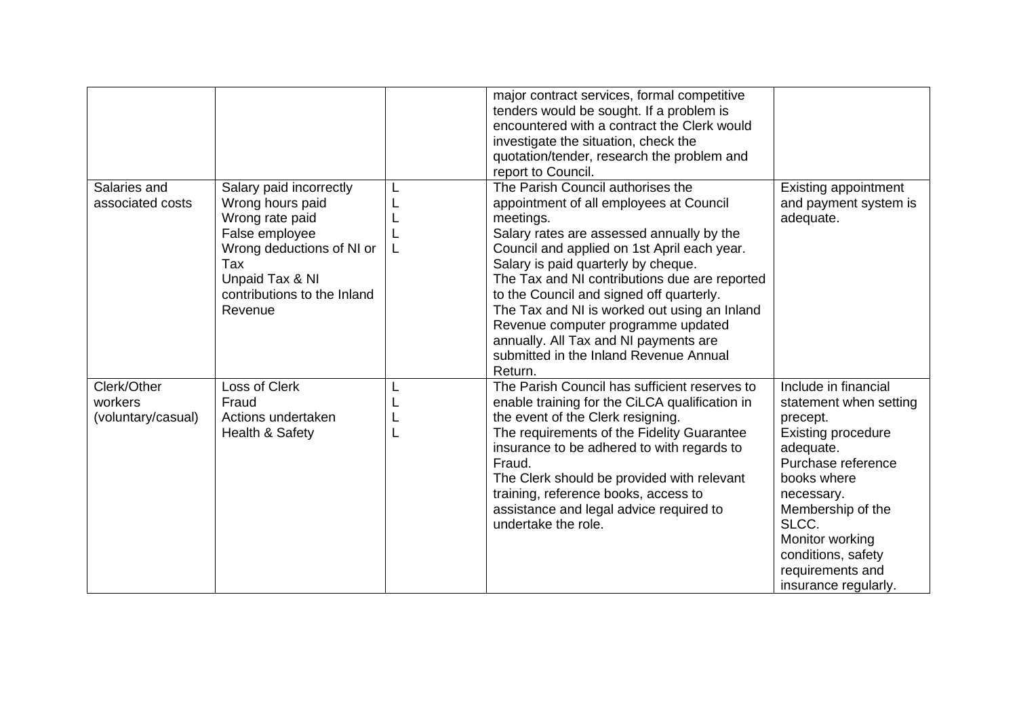| Salaries and<br>associated costs             | Salary paid incorrectly<br>Wrong hours paid<br>Wrong rate paid<br>False employee<br>Wrong deductions of NI or<br>Tax<br>Unpaid Tax & NI<br>contributions to the Inland<br>Revenue | L<br>L | major contract services, formal competitive<br>tenders would be sought. If a problem is<br>encountered with a contract the Clerk would<br>investigate the situation, check the<br>quotation/tender, research the problem and<br>report to Council.<br>The Parish Council authorises the<br>appointment of all employees at Council<br>meetings.<br>Salary rates are assessed annually by the<br>Council and applied on 1st April each year.<br>Salary is paid quarterly by cheque.<br>The Tax and NI contributions due are reported<br>to the Council and signed off quarterly.<br>The Tax and NI is worked out using an Inland<br>Revenue computer programme updated | <b>Existing appointment</b><br>and payment system is<br>adequate.                                                                                                                                                                                                          |
|----------------------------------------------|-----------------------------------------------------------------------------------------------------------------------------------------------------------------------------------|--------|-----------------------------------------------------------------------------------------------------------------------------------------------------------------------------------------------------------------------------------------------------------------------------------------------------------------------------------------------------------------------------------------------------------------------------------------------------------------------------------------------------------------------------------------------------------------------------------------------------------------------------------------------------------------------|----------------------------------------------------------------------------------------------------------------------------------------------------------------------------------------------------------------------------------------------------------------------------|
|                                              |                                                                                                                                                                                   |        | annually. All Tax and NI payments are<br>submitted in the Inland Revenue Annual<br>Return.                                                                                                                                                                                                                                                                                                                                                                                                                                                                                                                                                                            |                                                                                                                                                                                                                                                                            |
| Clerk/Other<br>workers<br>(voluntary/casual) | Loss of Clerk<br>Fraud<br>Actions undertaken<br>Health & Safety                                                                                                                   |        | The Parish Council has sufficient reserves to<br>enable training for the CiLCA qualification in<br>the event of the Clerk resigning.<br>The requirements of the Fidelity Guarantee<br>insurance to be adhered to with regards to<br>Fraud.<br>The Clerk should be provided with relevant<br>training, reference books, access to<br>assistance and legal advice required to<br>undertake the role.                                                                                                                                                                                                                                                                    | Include in financial<br>statement when setting<br>precept.<br><b>Existing procedure</b><br>adequate.<br>Purchase reference<br>books where<br>necessary.<br>Membership of the<br>SLCC.<br>Monitor working<br>conditions, safety<br>requirements and<br>insurance regularly. |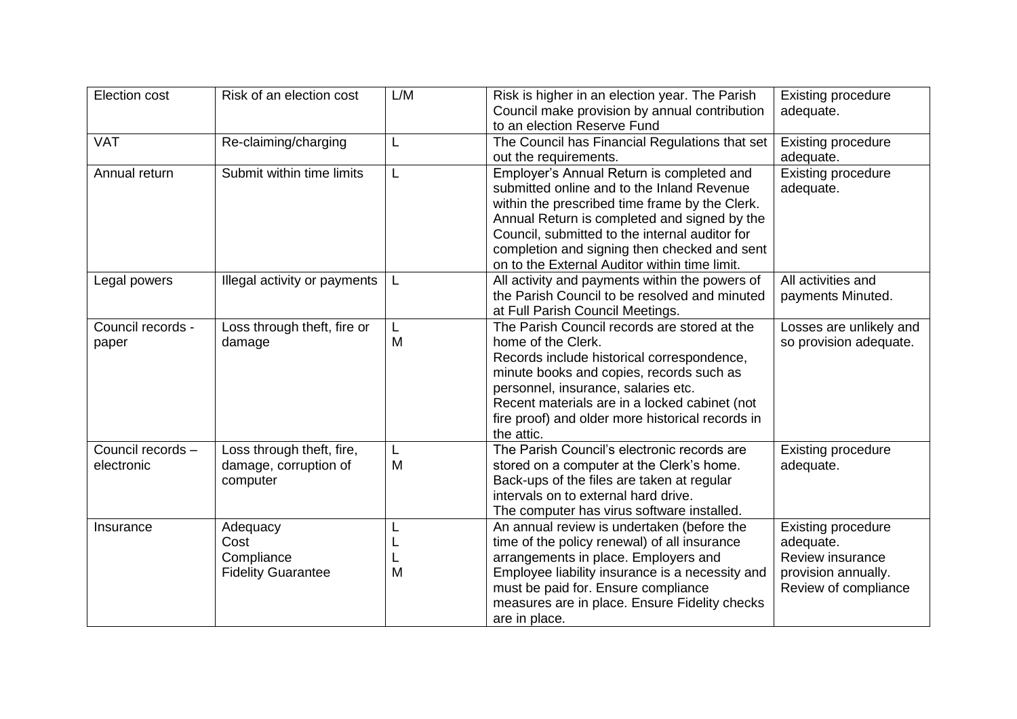| <b>Election cost</b>            | Risk of an election cost                                       | L/M         | Risk is higher in an election year. The Parish<br>Council make provision by annual contribution<br>to an election Reserve Fund                                                                                                                                                                                                               | <b>Existing procedure</b><br>adequate.                                                                    |
|---------------------------------|----------------------------------------------------------------|-------------|----------------------------------------------------------------------------------------------------------------------------------------------------------------------------------------------------------------------------------------------------------------------------------------------------------------------------------------------|-----------------------------------------------------------------------------------------------------------|
| <b>VAT</b>                      | Re-claiming/charging                                           | L           | The Council has Financial Regulations that set<br>out the requirements.                                                                                                                                                                                                                                                                      | <b>Existing procedure</b><br>adequate.                                                                    |
| Annual return                   | Submit within time limits                                      | L           | Employer's Annual Return is completed and<br>submitted online and to the Inland Revenue<br>within the prescribed time frame by the Clerk.<br>Annual Return is completed and signed by the<br>Council, submitted to the internal auditor for<br>completion and signing then checked and sent<br>on to the External Auditor within time limit. | <b>Existing procedure</b><br>adequate.                                                                    |
| Legal powers                    | Illegal activity or payments                                   | L           | All activity and payments within the powers of<br>the Parish Council to be resolved and minuted<br>at Full Parish Council Meetings.                                                                                                                                                                                                          | All activities and<br>payments Minuted.                                                                   |
| Council records -<br>paper      | Loss through theft, fire or<br>damage                          | L<br>M      | The Parish Council records are stored at the<br>home of the Clerk.<br>Records include historical correspondence,<br>minute books and copies, records such as<br>personnel, insurance, salaries etc.<br>Recent materials are in a locked cabinet (not<br>fire proof) and older more historical records in<br>the attic.                       | Losses are unlikely and<br>so provision adequate.                                                         |
| Council records -<br>electronic | Loss through theft, fire,<br>damage, corruption of<br>computer | L<br>M      | The Parish Council's electronic records are<br>stored on a computer at the Clerk's home.<br>Back-ups of the files are taken at regular<br>intervals on to external hard drive.<br>The computer has virus software installed.                                                                                                                 | <b>Existing procedure</b><br>adequate.                                                                    |
| Insurance                       | Adequacy<br>Cost<br>Compliance<br><b>Fidelity Guarantee</b>    | L<br>L<br>M | An annual review is undertaken (before the<br>time of the policy renewal) of all insurance<br>arrangements in place. Employers and<br>Employee liability insurance is a necessity and<br>must be paid for. Ensure compliance<br>measures are in place. Ensure Fidelity checks<br>are in place.                                               | <b>Existing procedure</b><br>adequate.<br>Review insurance<br>provision annually.<br>Review of compliance |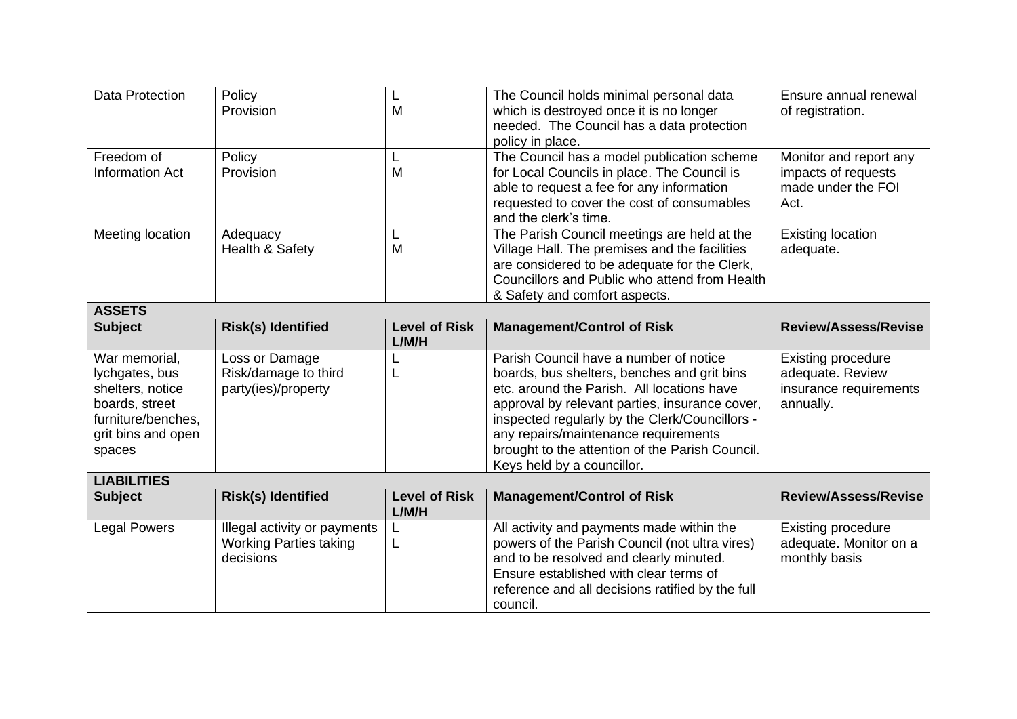| <b>Data Protection</b>                                                                                                      | Policy<br>Provision                                                        | M                             | The Council holds minimal personal data<br>which is destroyed once it is no longer<br>needed. The Council has a data protection<br>policy in place.                                                                                                                                                                                                              | Ensure annual renewal<br>of registration.                                            |  |  |
|-----------------------------------------------------------------------------------------------------------------------------|----------------------------------------------------------------------------|-------------------------------|------------------------------------------------------------------------------------------------------------------------------------------------------------------------------------------------------------------------------------------------------------------------------------------------------------------------------------------------------------------|--------------------------------------------------------------------------------------|--|--|
| Freedom of<br><b>Information Act</b>                                                                                        | Policy<br>Provision                                                        | L<br>M                        | The Council has a model publication scheme<br>for Local Councils in place. The Council is<br>able to request a fee for any information<br>requested to cover the cost of consumables<br>and the clerk's time.                                                                                                                                                    | Monitor and report any<br>impacts of requests<br>made under the FOI<br>Act.          |  |  |
| Meeting location                                                                                                            | Adequacy<br>Health & Safety                                                | L<br>M                        | The Parish Council meetings are held at the<br>Village Hall. The premises and the facilities<br>are considered to be adequate for the Clerk,<br>Councillors and Public who attend from Health<br>& Safety and comfort aspects.                                                                                                                                   | <b>Existing location</b><br>adequate.                                                |  |  |
| <b>ASSETS</b>                                                                                                               |                                                                            |                               |                                                                                                                                                                                                                                                                                                                                                                  |                                                                                      |  |  |
| <b>Subject</b>                                                                                                              | <b>Risk(s) Identified</b>                                                  | <b>Level of Risk</b><br>L/M/H | <b>Management/Control of Risk</b>                                                                                                                                                                                                                                                                                                                                | <b>Review/Assess/Revise</b>                                                          |  |  |
| War memorial,<br>lychgates, bus<br>shelters, notice<br>boards, street<br>furniture/benches,<br>grit bins and open<br>spaces | Loss or Damage<br>Risk/damage to third<br>party(ies)/property              | L                             | Parish Council have a number of notice<br>boards, bus shelters, benches and grit bins<br>etc. around the Parish. All locations have<br>approval by relevant parties, insurance cover,<br>inspected regularly by the Clerk/Councillors -<br>any repairs/maintenance requirements<br>brought to the attention of the Parish Council.<br>Keys held by a councillor. | <b>Existing procedure</b><br>adequate. Review<br>insurance requirements<br>annually. |  |  |
| <b>LIABILITIES</b>                                                                                                          |                                                                            |                               |                                                                                                                                                                                                                                                                                                                                                                  |                                                                                      |  |  |
| <b>Subject</b>                                                                                                              | <b>Risk(s) Identified</b>                                                  | <b>Level of Risk</b><br>L/M/H | <b>Management/Control of Risk</b>                                                                                                                                                                                                                                                                                                                                | <b>Review/Assess/Revise</b>                                                          |  |  |
| <b>Legal Powers</b>                                                                                                         | Illegal activity or payments<br><b>Working Parties taking</b><br>decisions | L<br>L                        | All activity and payments made within the<br>powers of the Parish Council (not ultra vires)<br>and to be resolved and clearly minuted.<br>Ensure established with clear terms of<br>reference and all decisions ratified by the full<br>council.                                                                                                                 | <b>Existing procedure</b><br>adequate. Monitor on a<br>monthly basis                 |  |  |